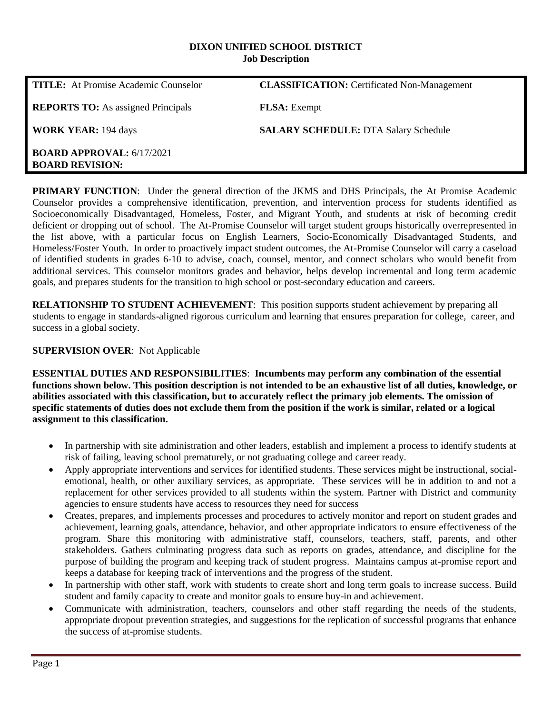#### **DIXON UNIFIED SCHOOL DISTRICT Job Description**

| <b>TITLE:</b> At Promise Academic Counselor                | <b>CLASSIFICATION:</b> Certificated Non-Management |
|------------------------------------------------------------|----------------------------------------------------|
| <b>REPORTS TO:</b> As assigned Principals                  | <b>FLSA</b> : Exempt                               |
| <b>WORK YEAR: 194 days</b>                                 | <b>SALARY SCHEDULE: DTA Salary Schedule</b>        |
| <b>BOARD APPROVAL: 6/17/2021</b><br><b>BOARD REVISION:</b> |                                                    |

**PRIMARY FUNCTION**: Under the general direction of the JKMS and DHS Principals, the At Promise Academic Counselor provides a comprehensive identification, prevention, and intervention process for students identified as Socioeconomically Disadvantaged, Homeless, Foster, and Migrant Youth, and students at risk of becoming credit deficient or dropping out of school. The At-Promise Counselor will target student groups historically overrepresented in the list above, with a particular focus on English Learners, Socio-Economically Disadvantaged Students, and Homeless/Foster Youth. In order to proactively impact student outcomes, the At-Promise Counselor will carry a caseload of identified students in grades 6-10 to advise, coach, counsel, mentor, and connect scholars who would benefit from additional services. This counselor monitors grades and behavior, helps develop incremental and long term academic goals, and prepares students for the transition to high school or post-secondary education and careers.

**RELATIONSHIP TO STUDENT ACHIEVEMENT**: This position supports student achievement by preparing all students to engage in standards-aligned rigorous curriculum and learning that ensures preparation for college, career, and success in a global society.

#### **SUPERVISION OVER**: Not Applicable

**ESSENTIAL DUTIES AND RESPONSIBILITIES**: **Incumbents may perform any combination of the essential functions shown below. This position description is not intended to be an exhaustive list of all duties, knowledge, or abilities associated with this classification, but to accurately reflect the primary job elements. The omission of specific statements of duties does not exclude them from the position if the work is similar, related or a logical assignment to this classification.**

- In partnership with site administration and other leaders, establish and implement a process to identify students at risk of failing, leaving school prematurely, or not graduating college and career ready.
- Apply appropriate interventions and services for identified students. These services might be instructional, socialemotional, health, or other auxiliary services, as appropriate. These services will be in addition to and not a replacement for other services provided to all students within the system. Partner with District and community agencies to ensure students have access to resources they need for success
- Creates, prepares, and implements processes and procedures to actively monitor and report on student grades and achievement, learning goals, attendance, behavior, and other appropriate indicators to ensure effectiveness of the program. Share this monitoring with administrative staff, counselors, teachers, staff, parents, and other stakeholders. Gathers culminating progress data such as reports on grades, attendance, and discipline for the purpose of building the program and keeping track of student progress. Maintains campus at-promise report and keeps a database for keeping track of interventions and the progress of the student.
- In partnership with other staff, work with students to create short and long term goals to increase success. Build student and family capacity to create and monitor goals to ensure buy-in and achievement.
- Communicate with administration, teachers, counselors and other staff regarding the needs of the students, appropriate dropout prevention strategies, and suggestions for the replication of successful programs that enhance the success of at-promise students.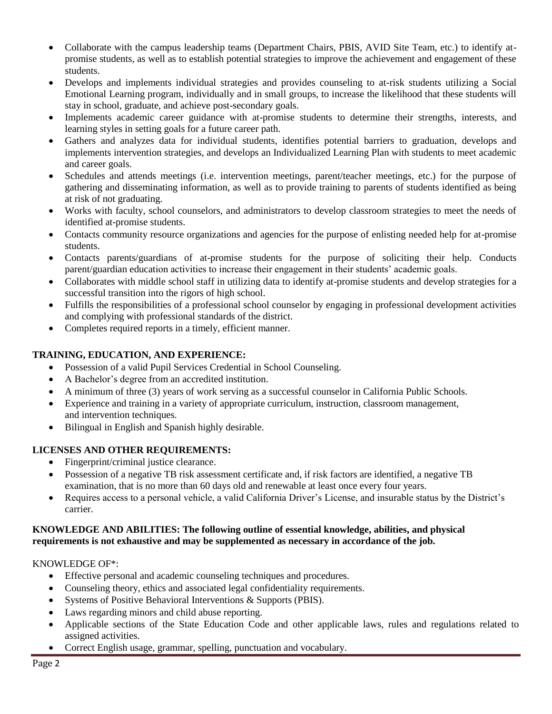- Collaborate with the campus leadership teams (Department Chairs, PBIS, AVID Site Team, etc.) to identify atpromise students, as well as to establish potential strategies to improve the achievement and engagement of these students.
- Develops and implements individual strategies and provides counseling to at-risk students utilizing a Social Emotional Learning program, individually and in small groups, to increase the likelihood that these students will stay in school, graduate, and achieve post-secondary goals.
- Implements academic career guidance with at-promise students to determine their strengths, interests, and learning styles in setting goals for a future career path.
- Gathers and analyzes data for individual students, identifies potential barriers to graduation, develops and implements intervention strategies, and develops an Individualized Learning Plan with students to meet academic and career goals.
- Schedules and attends meetings (i.e. intervention meetings, parent/teacher meetings, etc.) for the purpose of gathering and disseminating information, as well as to provide training to parents of students identified as being at risk of not graduating.
- Works with faculty, school counselors, and administrators to develop classroom strategies to meet the needs of identified at-promise students.
- Contacts community resource organizations and agencies for the purpose of enlisting needed help for at-promise students.
- Contacts parents/guardians of at-promise students for the purpose of soliciting their help. Conducts parent/guardian education activities to increase their engagement in their students' academic goals.
- Collaborates with middle school staff in utilizing data to identify at-promise students and develop strategies for a successful transition into the rigors of high school.
- Fulfills the responsibilities of a professional school counselor by engaging in professional development activities and complying with professional standards of the district.
- Completes required reports in a timely, efficient manner.

## **TRAINING, EDUCATION, AND EXPERIENCE:**

- Possession of a valid Pupil Services Credential in School Counseling.
- A Bachelor's degree from an accredited institution.
- A minimum of three (3) years of work serving as a successful counselor in California Public Schools.
- Experience and training in a variety of appropriate curriculum, instruction, classroom management, and intervention techniques.
- Bilingual in English and Spanish highly desirable.

# **LICENSES AND OTHER REQUIREMENTS:**

- Fingerprint/criminal justice clearance.
- Possession of a negative TB risk assessment certificate and, if risk factors are identified, a negative TB examination, that is no more than 60 days old and renewable at least once every four years.
- Requires access to a personal vehicle, a valid California Driver's License, and insurable status by the District's carrier.

#### **KNOWLEDGE AND ABILITIES: The following outline of essential knowledge, abilities, and physical requirements is not exhaustive and may be supplemented as necessary in accordance of the job.**

### KNOWLEDGE OF\*:

- Effective personal and academic counseling techniques and procedures.
- Counseling theory, ethics and associated legal confidentiality requirements.
- Systems of Positive Behavioral Interventions & Supports (PBIS).
- Laws regarding minors and child abuse reporting.
- Applicable sections of the State Education Code and other applicable laws, rules and regulations related to assigned activities.
- Correct English usage, grammar, spelling, punctuation and vocabulary.